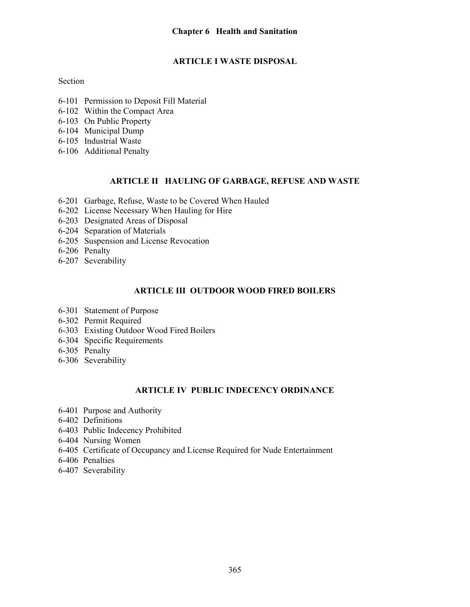# ARTICLE I WASTE DISPOSAL

## Section

- 6-101 Permission to Deposit Fill Material
- 6-102 Within the Compact Area
- 6-103 On Public Property
- 6-104 Municipal Dump
- 6-105 Industrial Waste
- 6-106 Additional Penalty

## ARTICLE II HAULING OF GARBAGE, REFUSE AND WASTE

- 6-201 Garbage, Refuse, Waste to be Covered When Hauled
- 6-202 License Necessary When Hauling for Hire
- 6-203 Designated Areas of Disposal
- 6-204 Separation of Materials
- 6-205 Suspension and License Revocation
- 6-206 Penalty
- 6-207 Severability

## ARTICLE III OUTDOOR WOOD FIRED BOILERS

- 6-301 Statement of Purpose
- 6-302 Permit Required
- 6-303 Existing Outdoor Wood Fired Boilers
- 6-304 Specific Requirements
- 6-305 Penalty
- 6-306 Severability

## ARTICLE IV PUBLIC INDECENCY ORDINANCE

- 6-401 Purpose and Authority
- 6-402 Definitions
- 6-403 Public Indecency Prohibited
- 6-404 Nursing Women
- 6-405 Certificate of Occupancy and License Required for Nude Entertainment
- 6-406 Penalties
- 6-407 Severability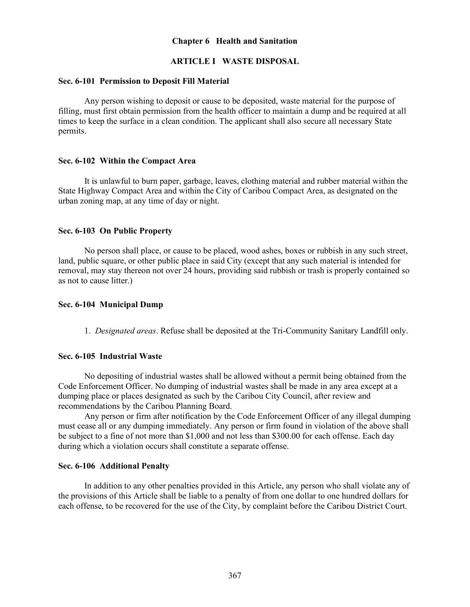### Chapter 6 Health and Sanitation

### ARTICLE I WASTE DISPOSAL

### Sec. 6-101 Permission to Deposit Fill Material

Any person wishing to deposit or cause to be deposited, waste material for the purpose of filling, must first obtain permission from the health officer to maintain a dump and be required at all times to keep the surface in a clean condition. The applicant shall also secure all necessary State permits.

#### Sec. 6-102 Within the Compact Area

 It is unlawful to burn paper, garbage, leaves, clothing material and rubber material within the State Highway Compact Area and within the City of Caribou Compact Area, as designated on the urban zoning map, at any time of day or night.

#### Sec. 6-103 On Public Property

No person shall place, or cause to be placed, wood ashes, boxes or rubbish in any such street, land, public square, or other public place in said City (except that any such material is intended for removal, may stay thereon not over 24 hours, providing said rubbish or trash is properly contained so as not to cause litter.)

#### Sec. 6-104 Municipal Dump

1. Designated areas. Refuse shall be deposited at the Tri-Community Sanitary Landfill only.

#### Sec. 6-105 Industrial Waste

No depositing of industrial wastes shall be allowed without a permit being obtained from the Code Enforcement Officer. No dumping of industrial wastes shall be made in any area except at a dumping place or places designated as such by the Caribou City Council, after review and recommendations by the Caribou Planning Board.

 Any person or firm after notification by the Code Enforcement Officer of any illegal dumping must cease all or any dumping immediately. Any person or firm found in violation of the above shall be subject to a fine of not more than \$1,000 and not less than \$300.00 for each offense. Each day during which a violation occurs shall constitute a separate offense.

#### Sec. 6-106 Additional Penalty

In addition to any other penalties provided in this Article, any person who shall violate any of the provisions of this Article shall be liable to a penalty of from one dollar to one hundred dollars for each offense, to be recovered for the use of the City, by complaint before the Caribou District Court.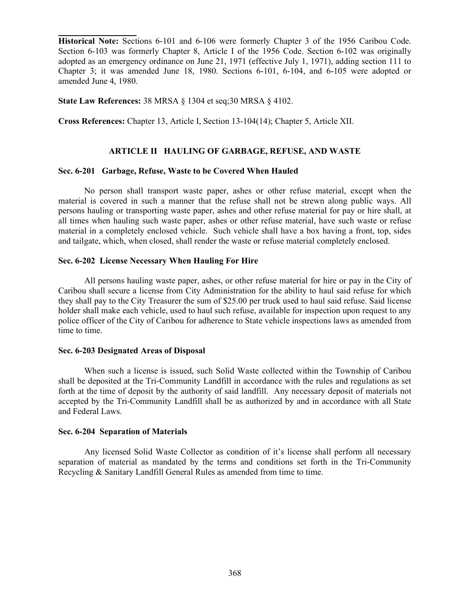Historical Note: Sections 6-101 and 6-106 were formerly Chapter 3 of the 1956 Caribou Code. Section 6-103 was formerly Chapter 8, Article I of the 1956 Code. Section 6-102 was originally adopted as an emergency ordinance on June 21, 1971 (effective July 1, 1971), adding section 111 to Chapter 3; it was amended June 18, 1980. Sections 6-101, 6-104, and 6-105 were adopted or amended June 4, 1980.

State Law References: 38 MRSA § 1304 et seq;30 MRSA § 4102.

l

Cross References: Chapter 13, Article I, Section 13-104(14); Chapter 5, Article XII.

### ARTICLE II HAULING OF GARBAGE, REFUSE, AND WASTE

### Sec. 6-201 Garbage, Refuse, Waste to be Covered When Hauled

No person shall transport waste paper, ashes or other refuse material, except when the material is covered in such a manner that the refuse shall not be strewn along public ways. All persons hauling or transporting waste paper, ashes and other refuse material for pay or hire shall, at all times when hauling such waste paper, ashes or other refuse material, have such waste or refuse material in a completely enclosed vehicle. Such vehicle shall have a box having a front, top, sides and tailgate, which, when closed, shall render the waste or refuse material completely enclosed.

### Sec. 6-202 License Necessary When Hauling For Hire

All persons hauling waste paper, ashes, or other refuse material for hire or pay in the City of Caribou shall secure a license from City Administration for the ability to haul said refuse for which they shall pay to the City Treasurer the sum of \$25.00 per truck used to haul said refuse. Said license holder shall make each vehicle, used to haul such refuse, available for inspection upon request to any police officer of the City of Caribou for adherence to State vehicle inspections laws as amended from time to time.

#### Sec. 6-203 Designated Areas of Disposal

When such a license is issued, such Solid Waste collected within the Township of Caribou shall be deposited at the Tri-Community Landfill in accordance with the rules and regulations as set forth at the time of deposit by the authority of said landfill. Any necessary deposit of materials not accepted by the Tri-Community Landfill shall be as authorized by and in accordance with all State and Federal Laws.

#### Sec. 6-204 Separation of Materials

 Any licensed Solid Waste Collector as condition of it's license shall perform all necessary separation of material as mandated by the terms and conditions set forth in the Tri-Community Recycling & Sanitary Landfill General Rules as amended from time to time.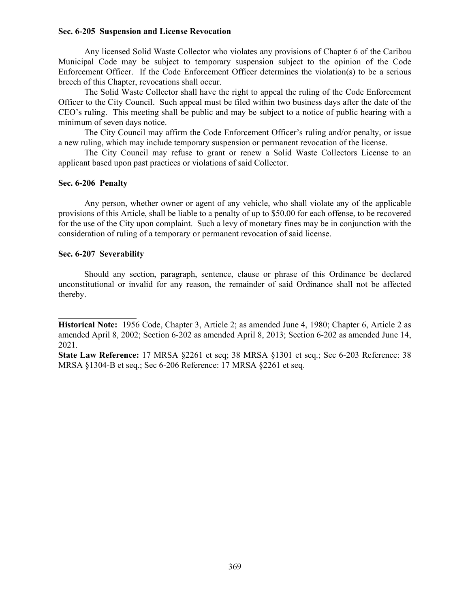### Sec. 6-205 Suspension and License Revocation

 Any licensed Solid Waste Collector who violates any provisions of Chapter 6 of the Caribou Municipal Code may be subject to temporary suspension subject to the opinion of the Code Enforcement Officer. If the Code Enforcement Officer determines the violation(s) to be a serious breech of this Chapter, revocations shall occur.

 The Solid Waste Collector shall have the right to appeal the ruling of the Code Enforcement Officer to the City Council. Such appeal must be filed within two business days after the date of the CEO's ruling. This meeting shall be public and may be subject to a notice of public hearing with a minimum of seven days notice.

 The City Council may affirm the Code Enforcement Officer's ruling and/or penalty, or issue a new ruling, which may include temporary suspension or permanent revocation of the license.

 The City Council may refuse to grant or renew a Solid Waste Collectors License to an applicant based upon past practices or violations of said Collector.

#### Sec. 6-206 Penalty

 Any person, whether owner or agent of any vehicle, who shall violate any of the applicable provisions of this Article, shall be liable to a penalty of up to \$50.00 for each offense, to be recovered for the use of the City upon complaint. Such a levy of monetary fines may be in conjunction with the consideration of ruling of a temporary or permanent revocation of said license.

#### Sec. 6-207 Severability

l

Should any section, paragraph, sentence, clause or phrase of this Ordinance be declared unconstitutional or invalid for any reason, the remainder of said Ordinance shall not be affected thereby.

Historical Note: 1956 Code, Chapter 3, Article 2; as amended June 4, 1980; Chapter 6, Article 2 as amended April 8, 2002; Section 6-202 as amended April 8, 2013; Section 6-202 as amended June 14, 2021.

State Law Reference: 17 MRSA §2261 et seq; 38 MRSA §1301 et seq.; Sec 6-203 Reference: 38 MRSA §1304-B et seq.; Sec 6-206 Reference: 17 MRSA §2261 et seq.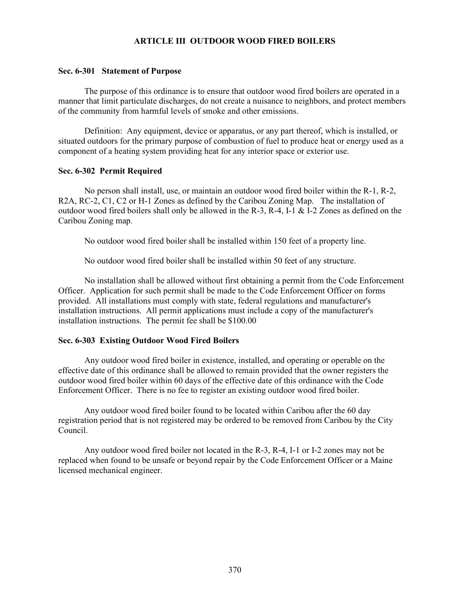### ARTICLE III OUTDOOR WOOD FIRED BOILERS

### Sec. 6-301 Statement of Purpose

 The purpose of this ordinance is to ensure that outdoor wood fired boilers are operated in a manner that limit particulate discharges, do not create a nuisance to neighbors, and protect members of the community from harmful levels of smoke and other emissions.

 Definition: Any equipment, device or apparatus, or any part thereof, which is installed, or situated outdoors for the primary purpose of combustion of fuel to produce heat or energy used as a component of a heating system providing heat for any interior space or exterior use.

#### Sec. 6-302 Permit Required

 No person shall install, use, or maintain an outdoor wood fired boiler within the R-1, R-2, R2A, RC-2, C1, C2 or H-1 Zones as defined by the Caribou Zoning Map. The installation of outdoor wood fired boilers shall only be allowed in the R-3, R-4, I-1 & I-2 Zones as defined on the Caribou Zoning map.

No outdoor wood fired boiler shall be installed within 150 feet of a property line.

No outdoor wood fired boiler shall be installed within 50 feet of any structure.

 No installation shall be allowed without first obtaining a permit from the Code Enforcement Officer. Application for such permit shall be made to the Code Enforcement Officer on forms provided. All installations must comply with state, federal regulations and manufacturer's installation instructions. All permit applications must include a copy of the manufacturer's installation instructions. The permit fee shall be \$100.00

#### Sec. 6-303 Existing Outdoor Wood Fired Boilers

 Any outdoor wood fired boiler in existence, installed, and operating or operable on the effective date of this ordinance shall be allowed to remain provided that the owner registers the outdoor wood fired boiler within 60 days of the effective date of this ordinance with the Code Enforcement Officer. There is no fee to register an existing outdoor wood fired boiler.

 Any outdoor wood fired boiler found to be located within Caribou after the 60 day registration period that is not registered may be ordered to be removed from Caribou by the City Council.

 Any outdoor wood fired boiler not located in the R-3, R-4, I-1 or I-2 zones may not be replaced when found to be unsafe or beyond repair by the Code Enforcement Officer or a Maine licensed mechanical engineer.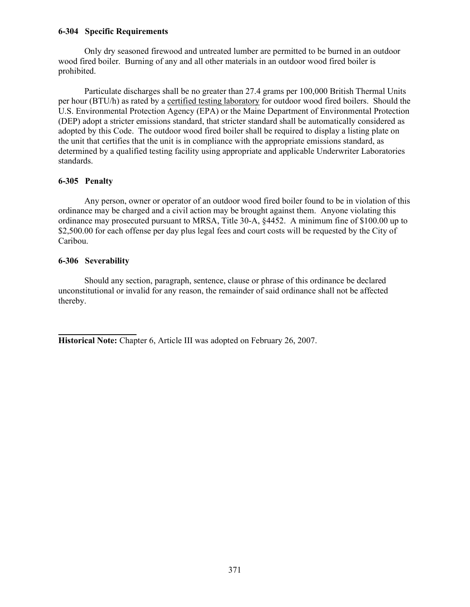### 6-304 Specific Requirements

 Only dry seasoned firewood and untreated lumber are permitted to be burned in an outdoor wood fired boiler. Burning of any and all other materials in an outdoor wood fired boiler is prohibited.

 Particulate discharges shall be no greater than 27.4 grams per 100,000 British Thermal Units per hour (BTU/h) as rated by a certified testing laboratory for outdoor wood fired boilers. Should the U.S. Environmental Protection Agency (EPA) or the Maine Department of Environmental Protection (DEP) adopt a stricter emissions standard, that stricter standard shall be automatically considered as adopted by this Code. The outdoor wood fired boiler shall be required to display a listing plate on the unit that certifies that the unit is in compliance with the appropriate emissions standard, as determined by a qualified testing facility using appropriate and applicable Underwriter Laboratories standards.

## 6-305 Penalty

 Any person, owner or operator of an outdoor wood fired boiler found to be in violation of this ordinance may be charged and a civil action may be brought against them. Anyone violating this ordinance may prosecuted pursuant to MRSA, Title 30-A, §4452. A minimum fine of \$100.00 up to \$2,500.00 for each offense per day plus legal fees and court costs will be requested by the City of Caribou.

## 6-306 Severability

 Should any section, paragraph, sentence, clause or phrase of this ordinance be declared unconstitutional or invalid for any reason, the remainder of said ordinance shall not be affected thereby.

l Historical Note: Chapter 6, Article III was adopted on February 26, 2007.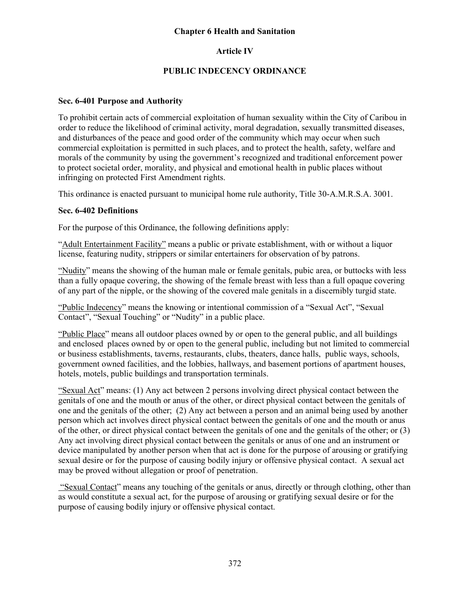## Chapter 6 Health and Sanitation

## Article IV

## PUBLIC INDECENCY ORDINANCE

## Sec. 6-401 Purpose and Authority

To prohibit certain acts of commercial exploitation of human sexuality within the City of Caribou in order to reduce the likelihood of criminal activity, moral degradation, sexually transmitted diseases, and disturbances of the peace and good order of the community which may occur when such commercial exploitation is permitted in such places, and to protect the health, safety, welfare and morals of the community by using the government's recognized and traditional enforcement power to protect societal order, morality, and physical and emotional health in public places without infringing on protected First Amendment rights.

This ordinance is enacted pursuant to municipal home rule authority, Title 30-A.M.R.S.A. 3001.

## Sec. 6-402 Definitions

For the purpose of this Ordinance, the following definitions apply:

"Adult Entertainment Facility" means a public or private establishment, with or without a liquor license, featuring nudity, strippers or similar entertainers for observation of by patrons.

"Nudity" means the showing of the human male or female genitals, pubic area, or buttocks with less than a fully opaque covering, the showing of the female breast with less than a full opaque covering of any part of the nipple, or the showing of the covered male genitals in a discernibly turgid state.

"Public Indecency" means the knowing or intentional commission of a "Sexual Act", "Sexual Contact", "Sexual Touching" or "Nudity" in a public place.

"Public Place" means all outdoor places owned by or open to the general public, and all buildings and enclosed places owned by or open to the general public, including but not limited to commercial or business establishments, taverns, restaurants, clubs, theaters, dance halls, public ways, schools, government owned facilities, and the lobbies, hallways, and basement portions of apartment houses, hotels, motels, public buildings and transportation terminals.

"Sexual Act" means: (1) Any act between 2 persons involving direct physical contact between the genitals of one and the mouth or anus of the other, or direct physical contact between the genitals of one and the genitals of the other; (2) Any act between a person and an animal being used by another person which act involves direct physical contact between the genitals of one and the mouth or anus of the other, or direct physical contact between the genitals of one and the genitals of the other; or (3) Any act involving direct physical contact between the genitals or anus of one and an instrument or device manipulated by another person when that act is done for the purpose of arousing or gratifying sexual desire or for the purpose of causing bodily injury or offensive physical contact. A sexual act may be proved without allegation or proof of penetration.

 "Sexual Contact" means any touching of the genitals or anus, directly or through clothing, other than as would constitute a sexual act, for the purpose of arousing or gratifying sexual desire or for the purpose of causing bodily injury or offensive physical contact.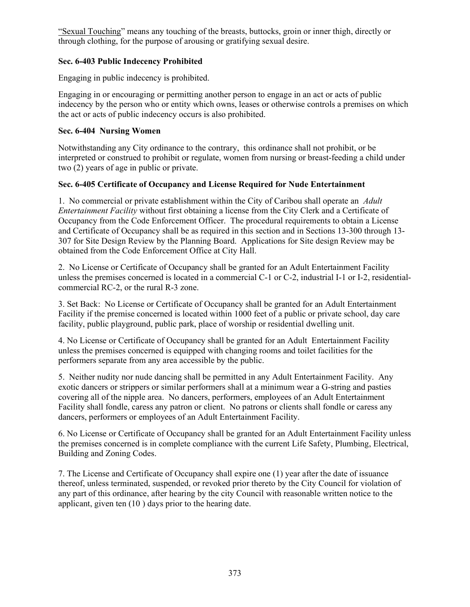"Sexual Touching" means any touching of the breasts, buttocks, groin or inner thigh, directly or through clothing, for the purpose of arousing or gratifying sexual desire.

# Sec. 6-403 Public Indecency Prohibited

Engaging in public indecency is prohibited.

Engaging in or encouraging or permitting another person to engage in an act or acts of public indecency by the person who or entity which owns, leases or otherwise controls a premises on which the act or acts of public indecency occurs is also prohibited.

# Sec. 6-404 Nursing Women

Notwithstanding any City ordinance to the contrary, this ordinance shall not prohibit, or be interpreted or construed to prohibit or regulate, women from nursing or breast-feeding a child under two (2) years of age in public or private.

# Sec. 6-405 Certificate of Occupancy and License Required for Nude Entertainment

1. No commercial or private establishment within the City of Caribou shall operate an Adult Entertainment Facility without first obtaining a license from the City Clerk and a Certificate of Occupancy from the Code Enforcement Officer. The procedural requirements to obtain a License and Certificate of Occupancy shall be as required in this section and in Sections 13-300 through 13- 307 for Site Design Review by the Planning Board. Applications for Site design Review may be obtained from the Code Enforcement Office at City Hall.

2. No License or Certificate of Occupancy shall be granted for an Adult Entertainment Facility unless the premises concerned is located in a commercial C-1 or C-2, industrial I-1 or I-2, residentialcommercial RC-2, or the rural R-3 zone.

3. Set Back: No License or Certificate of Occupancy shall be granted for an Adult Entertainment Facility if the premise concerned is located within 1000 feet of a public or private school, day care facility, public playground, public park, place of worship or residential dwelling unit.

4. No License or Certificate of Occupancy shall be granted for an Adult Entertainment Facility unless the premises concerned is equipped with changing rooms and toilet facilities for the performers separate from any area accessible by the public.

5. Neither nudity nor nude dancing shall be permitted in any Adult Entertainment Facility. Any exotic dancers or strippers or similar performers shall at a minimum wear a G-string and pasties covering all of the nipple area. No dancers, performers, employees of an Adult Entertainment Facility shall fondle, caress any patron or client. No patrons or clients shall fondle or caress any dancers, performers or employees of an Adult Entertainment Facility.

6. No License or Certificate of Occupancy shall be granted for an Adult Entertainment Facility unless the premises concerned is in complete compliance with the current Life Safety, Plumbing, Electrical, Building and Zoning Codes.

7. The License and Certificate of Occupancy shall expire one (1) year after the date of issuance thereof, unless terminated, suspended, or revoked prior thereto by the City Council for violation of any part of this ordinance, after hearing by the city Council with reasonable written notice to the applicant, given ten (10 ) days prior to the hearing date.